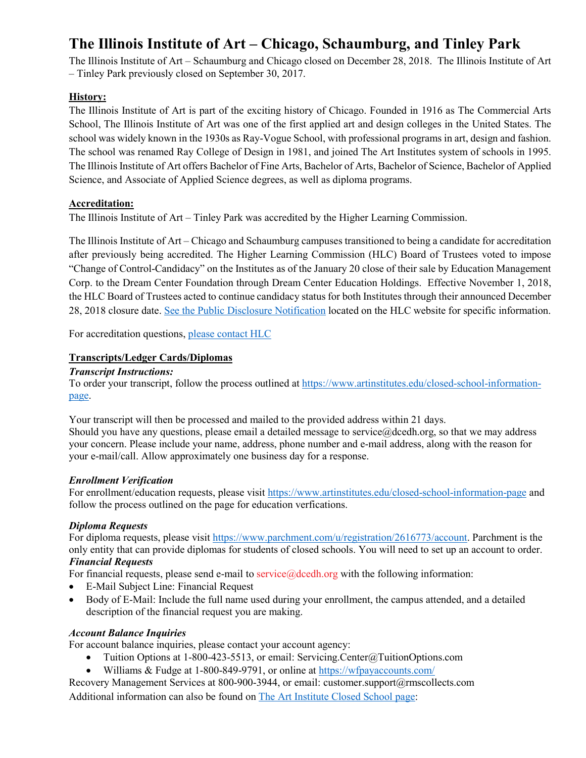# **The Illinois Institute of Art – Chicago, Schaumburg, and Tinley Park**

The Illinois Institute of Art – Schaumburg and Chicago closed on December 28, 2018. The Illinois Institute of Art – Tinley Park previously closed on September 30, 2017.

## **History:**

The Illinois Institute of Art is part of the exciting history of Chicago. Founded in 1916 as The Commercial Arts School, The Illinois Institute of Art was one of the first applied art and design colleges in the United States. The school was widely known in the 1930s as Ray-Vogue School, with professional programs in art, design and fashion. The school was renamed Ray College of Design in 1981, and joined The Art Institutes system of schools in 1995. The Illinois Institute of Art offers Bachelor of Fine Arts, Bachelor of Arts, Bachelor of Science, Bachelor of Applied Science, and Associate of Applied Science degrees, as well as diploma programs.

# **Accreditation:**

The Illinois Institute of Art – Tinley Park was accredited by the Higher Learning Commission.

The Illinois Institute of Art – Chicago and Schaumburg campuses transitioned to being a candidate for accreditation after previously being accredited. The Higher Learning Commission (HLC) Board of Trustees voted to impose "Change of Control-Candidacy" on the Institutes as of the January 20 close of their sale by Education Management Corp. to the Dream Center Foundation through Dream Center Education Holdings. Effective November 1, 2018, the HLC Board of Trustees acted to continue candidacy status for both Institutes through their announced December 28, 2018 closure date. [See the Public Disclosure Notification](https://www.hlcommission.org/download/_PublicDisclosureNotices/Art%20Inst%20Teach%20Out%20PDN%20Update%2012-2018.pdf) located on the HLC website for specific information.

For accreditation questions[, please contact HLC](https://www.hlcommission.org/About-HLC/contact-us.html)

# **Transcripts/Ledger Cards/Diplomas**

#### *Transcript Instructions:*

To order your transcript, follow the process outlined at [https://www.artinstitutes.edu/closed-school-information](https://www.artinstitutes.edu/closed-school-information-page)[page.](https://www.artinstitutes.edu/closed-school-information-page)

Your transcript will then be processed and mailed to the provided address within 21 days. Should you have any questions, please email a detailed message to service@dcedh.org, so that we may address your concern. Please include your name, address, phone number and e-mail address, along with the reason for your e-mail/call. Allow approximately one business day for a response.

## *Enrollment Verification*

For enrollment/education requests, please visi[t https://www.artinstitutes.edu/closed-school-information-page](https://www.artinstitutes.edu/closed-school-information-page) and follow the process outlined on the page for education verfications.

## *Diploma Requests*

For diploma requests, please visit [https://www.parchment.com/u/registration/2616773/account.](https://www.parchment.com/u/registration/2616773/account) Parchment is the only entity that can provide diplomas for students of closed schools. You will need to set up an account to order. *Financial Requests*

For financial requests, please send e-mail to service@dcedh.org with the following information:

- E-Mail Subject Line: Financial Request
- Body of E-Mail: Include the full name used during your enrollment, the campus attended, and a detailed description of the financial request you are making.

## *Account Balance Inquiries*

For account balance inquiries, please contact your account agency:

- Tuition Options at 1-800-423-5513, or email: Servicing.Center@TuitionOptions.com
- Williams & Fudge at 1-800-849-9791, or online at<https://wfpayaccounts.com/>

Recovery Management Services at 800-900-3944, or email: customer.support@rmscollects.com Additional information can also be found on [The Art Institute Closed School page:](https://www.artinstitutes.edu/closed-school-information-page)